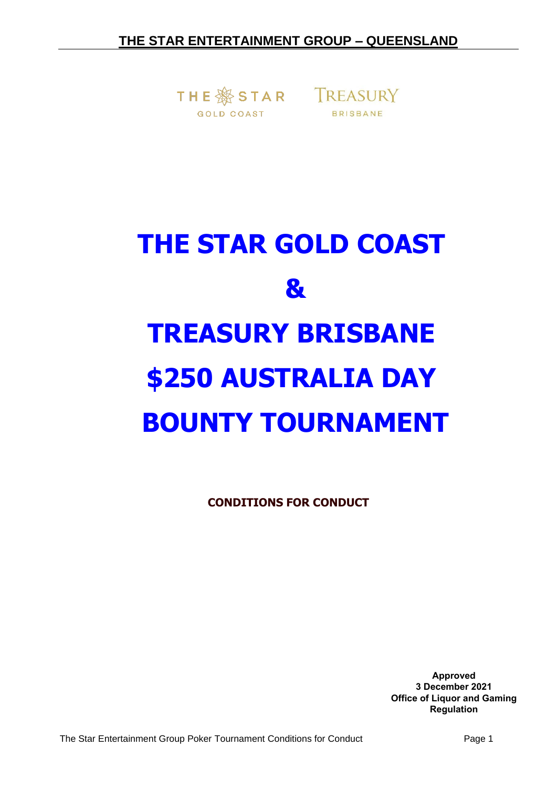THE SS STAR TREASURY **GOLD COAST** 



# **THE STAR GOLD COAST & TREASURY BRISBANE \$250 AUSTRALIA DAY BOUNTY TOURNAMENT**

**CONDITIONS FOR CONDUCT**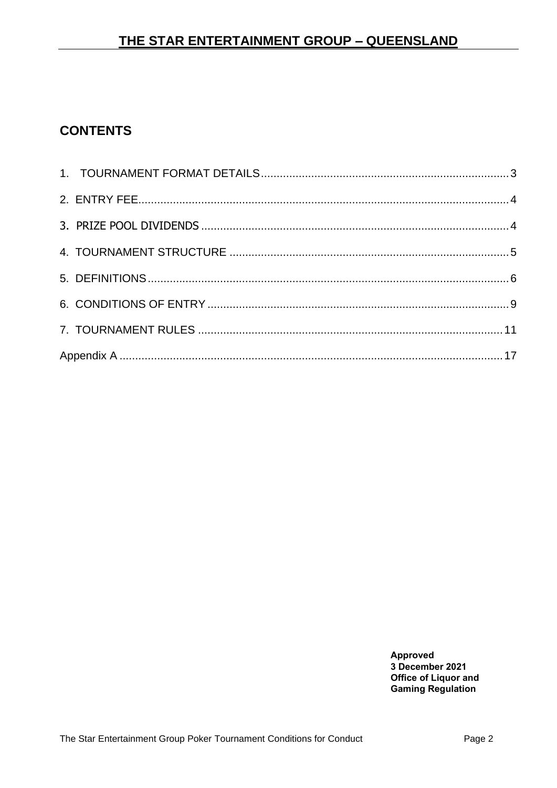# **CONTENTS**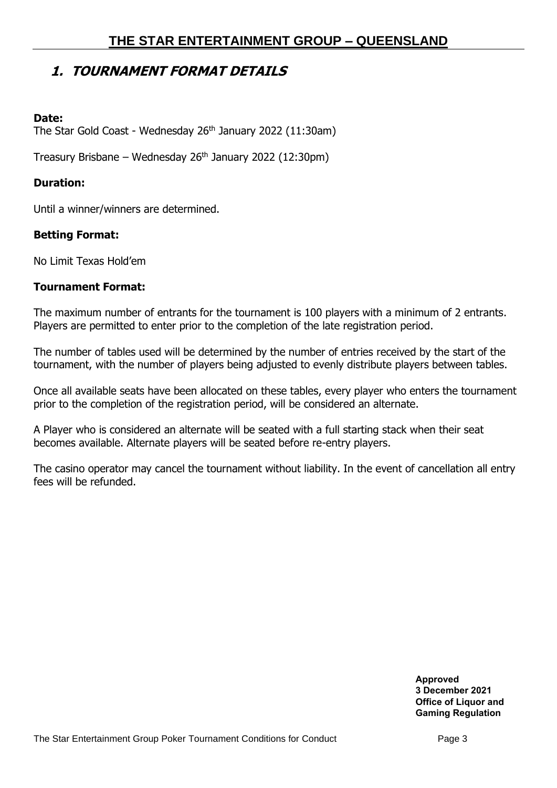# <span id="page-2-0"></span>**1. TOURNAMENT FORMAT DETAILS**

### **Date:**

The Star Gold Coast - Wednesday 26<sup>th</sup> January 2022 (11:30am)

Treasury Brisbane – Wednesday  $26<sup>th</sup>$  January 2022 (12:30pm)

## **Duration:**

Until a winner/winners are determined.

## **Betting Format:**

No Limit Texas Hold'em

#### **Tournament Format:**

The maximum number of entrants for the tournament is 100 players with a minimum of 2 entrants. Players are permitted to enter prior to the completion of the late registration period.

The number of tables used will be determined by the number of entries received by the start of the tournament, with the number of players being adjusted to evenly distribute players between tables.

Once all available seats have been allocated on these tables, every player who enters the tournament prior to the completion of the registration period, will be considered an alternate.

A Player who is considered an alternate will be seated with a full starting stack when their seat becomes available. Alternate players will be seated before re-entry players.

The casino operator may cancel the tournament without liability. In the event of cancellation all entry fees will be refunded.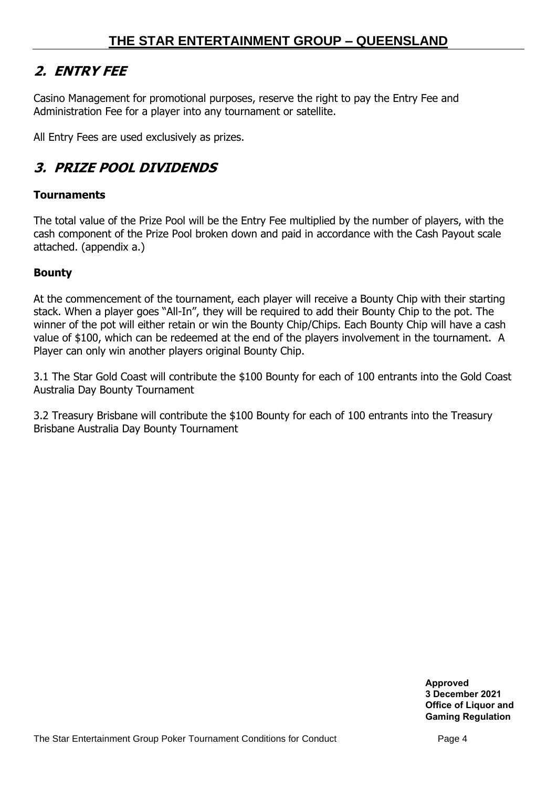# <span id="page-3-0"></span>**2. ENTRY FEE**

Casino Management for promotional purposes, reserve the right to pay the Entry Fee and Administration Fee for a player into any tournament or satellite.

All Entry Fees are used exclusively as prizes.

# <span id="page-3-1"></span>**3. PRIZE POOL DIVIDENDS**

## **Tournaments**

The total value of the Prize Pool will be the Entry Fee multiplied by the number of players, with the cash component of the Prize Pool broken down and paid in accordance with the Cash Payout scale attached. (appendix a.)

## **Bounty**

At the commencement of the tournament, each player will receive a Bounty Chip with their starting stack. When a player goes "All-In", they will be required to add their Bounty Chip to the pot. The winner of the pot will either retain or win the Bounty Chip/Chips. Each Bounty Chip will have a cash value of \$100, which can be redeemed at the end of the players involvement in the tournament. A Player can only win another players original Bounty Chip.

3.1 The Star Gold Coast will contribute the \$100 Bounty for each of 100 entrants into the Gold Coast Australia Day Bounty Tournament

3.2 Treasury Brisbane will contribute the \$100 Bounty for each of 100 entrants into the Treasury Brisbane Australia Day Bounty Tournament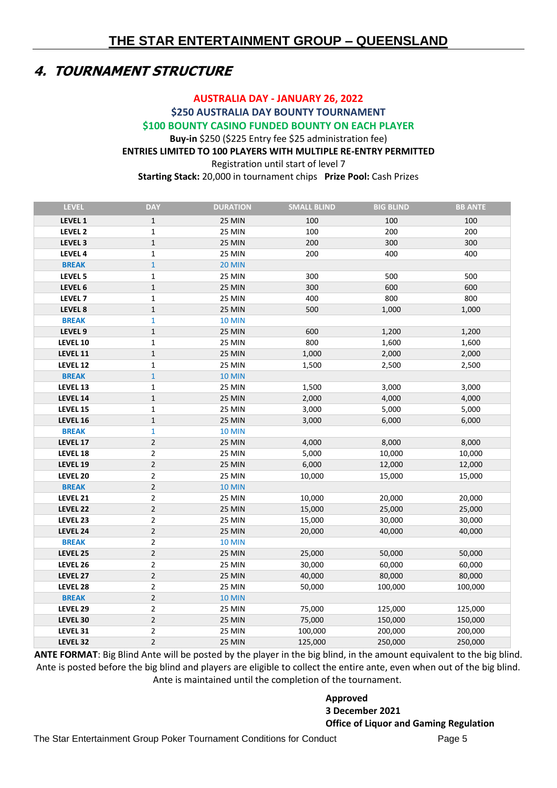# <span id="page-4-0"></span>**4. TOURNAMENT STRUCTURE**

#### **AUSTRALIA DAY - JANUARY 26, 2022 \$250 AUSTRALIA DAY BOUNTY TOURNAMENT \$100 BOUNTY CASINO FUNDED BOUNTY ON EACH PLAYER Buy-in** \$250 (\$225 Entry fee \$25 administration fee) **ENTRIES LIMITED TO 100 PLAYERS WITH MULTIPLE RE-ENTRY PERMITTED** Registration until start of level 7 **Starting Stack:** 20,000 in tournament chips **Prize Pool:** Cash Prizes

| <b>LEVEL</b>       | <b>DAY</b>     | <b>DURATION</b> | <b>SMALL BLIND</b> | <b>BIG BLIND</b> | <b>BB ANTE</b> |
|--------------------|----------------|-----------------|--------------------|------------------|----------------|
| LEVEL 1            | 1              | <b>25 MIN</b>   | 100                | 100              | 100            |
| LEVEL 2            | 1              | 25 MIN          | 100                | 200              | 200            |
| LEVEL 3            | $\mathbf 1$    | 25 MIN          | 200                | 300              | 300            |
| LEVEL 4            | $\mathbf{1}$   | <b>25 MIN</b>   | 200                | 400              | 400            |
| <b>BREAK</b>       | $\mathbf{1}$   | <b>20 MIN</b>   |                    |                  |                |
| LEVEL 5            | $\mathbf{1}$   | <b>25 MIN</b>   | 300                | 500              | 500            |
| LEVEL 6            | $\mathbf{1}$   | <b>25 MIN</b>   | 300                | 600              | 600            |
| LEVEL <sub>7</sub> | $\mathbf{1}$   | <b>25 MIN</b>   | 400                | 800              | 800            |
| LEVEL 8            | $\mathbf{1}$   | <b>25 MIN</b>   | 500                | 1,000            | 1,000          |
| <b>BREAK</b>       | $\mathbf{1}$   | <b>10 MIN</b>   |                    |                  |                |
| LEVEL 9            | $\mathbf{1}$   | <b>25 MIN</b>   | 600                | 1,200            | 1,200          |
| LEVEL 10           | $\mathbf{1}$   | <b>25 MIN</b>   | 800                | 1,600            | 1,600          |
| LEVEL 11           | $\mathbf 1$    | <b>25 MIN</b>   | 1,000              | 2,000            | 2,000          |
| LEVEL 12           | 1              | <b>25 MIN</b>   | 1,500              | 2,500            | 2,500          |
| <b>BREAK</b>       | $\mathbf{1}$   | <b>10 MIN</b>   |                    |                  |                |
| LEVEL 13           | $\mathbf 1$    | 25 MIN          | 1,500              | 3,000            | 3,000          |
| LEVEL 14           | $\mathbf 1$    | 25 MIN          | 2,000              | 4,000            | 4,000          |
| LEVEL 15           | $\mathbf{1}$   | <b>25 MIN</b>   | 3,000              | 5,000            | 5,000          |
| LEVEL 16           | $\mathbf 1$    | 25 MIN          | 3,000              | 6,000            | 6,000          |
| <b>BREAK</b>       | $\mathbf{1}$   | <b>10 MIN</b>   |                    |                  |                |
| LEVEL 17           | $\overline{2}$ | 25 MIN          | 4,000              | 8,000            | 8,000          |
| LEVEL 18           | $\overline{2}$ | <b>25 MIN</b>   | 5,000              | 10,000           | 10,000         |
| LEVEL 19           | $\mathbf 2$    | <b>25 MIN</b>   | 6,000              | 12,000           | 12,000         |
| LEVEL 20           | $\overline{2}$ | <b>25 MIN</b>   | 10,000             | 15,000           | 15,000         |
| <b>BREAK</b>       | $\overline{2}$ | <b>10 MIN</b>   |                    |                  |                |
| LEVEL 21           | $\overline{2}$ | <b>25 MIN</b>   | 10,000             | 20,000           | 20,000         |
| LEVEL 22           | $\overline{2}$ | <b>25 MIN</b>   | 15,000             | 25,000           | 25,000         |
| LEVEL 23           | $\overline{2}$ | <b>25 MIN</b>   | 15,000             | 30,000           | 30,000         |
| LEVEL 24           | $\overline{2}$ | 25 MIN          | 20,000             | 40,000           | 40,000         |
| <b>BREAK</b>       | $\mathbf 2$    | <b>10 MIN</b>   |                    |                  |                |
| LEVEL 25           | $\mathbf 2$    | 25 MIN          | 25,000             | 50,000           | 50,000         |
| LEVEL 26           | $\overline{2}$ | 25 MIN          | 30,000             | 60,000           | 60,000         |
| LEVEL 27           | $\overline{2}$ | 25 MIN          | 40,000             | 80,000           | 80,000         |
| LEVEL 28           | $\overline{2}$ | 25 MIN          | 50,000             | 100,000          | 100,000        |
| <b>BREAK</b>       | $\overline{2}$ | <b>10 MIN</b>   |                    |                  |                |
| LEVEL 29           | $\overline{2}$ | <b>25 MIN</b>   | 75,000             | 125,000          | 125,000        |
| LEVEL 30           | $\overline{2}$ | 25 MIN          | 75,000             | 150,000          | 150,000        |
| LEVEL 31           | $\overline{2}$ | 25 MIN          | 100,000            | 200,000          | 200,000        |
| LEVEL 32           | $\overline{2}$ | <b>25 MIN</b>   | 125,000            | 250,000          | 250,000        |

**ANTE FORMAT**: Big Blind Ante will be posted by the player in the big blind, in the amount equivalent to the big blind. Ante is posted before the big blind and players are eligible to collect the entire ante, even when out of the big blind. Ante is maintained until the completion of the tournament.

#### **Approved**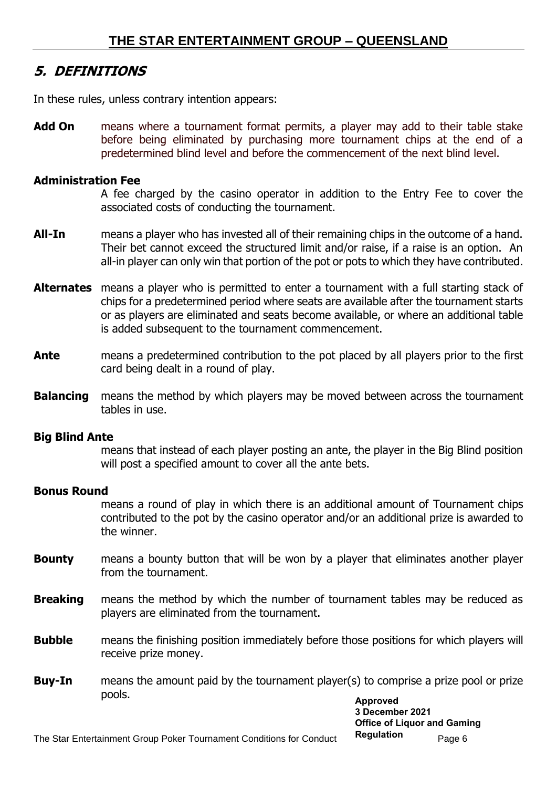# <span id="page-5-0"></span>**5. DEFINITIONS**

In these rules, unless contrary intention appears:

**Add On** means where a tournament format permits, a player may add to their table stake before being eliminated by purchasing more tournament chips at the end of a predetermined blind level and before the commencement of the next blind level.

## **Administration Fee**

A fee charged by the casino operator in addition to the Entry Fee to cover the associated costs of conducting the tournament.

- **All-In** means a player who has invested all of their remaining chips in the outcome of a hand. Their bet cannot exceed the structured limit and/or raise, if a raise is an option. An all-in player can only win that portion of the pot or pots to which they have contributed.
- **Alternates** means a player who is permitted to enter a tournament with a full starting stack of chips for a predetermined period where seats are available after the tournament starts or as players are eliminated and seats become available, or where an additional table is added subsequent to the tournament commencement.
- **Ante** means a predetermined contribution to the pot placed by all players prior to the first card being dealt in a round of play.
- **Balancing** means the method by which players may be moved between across the tournament tables in use.

## **Big Blind Ante**

means that instead of each player posting an ante, the player in the Big Blind position will post a specified amount to cover all the ante bets.

## **Bonus Round**

means a round of play in which there is an additional amount of Tournament chips contributed to the pot by the casino operator and/or an additional prize is awarded to the winner.

- **Bounty** means a bounty button that will be won by a player that eliminates another player from the tournament.
- **Breaking** means the method by which the number of tournament tables may be reduced as players are eliminated from the tournament.
- **Bubble** means the finishing position immediately before those positions for which players will receive prize money.
- **Buy-In** means the amount paid by the tournament player(s) to comprise a prize pool or prize pools. **Approved**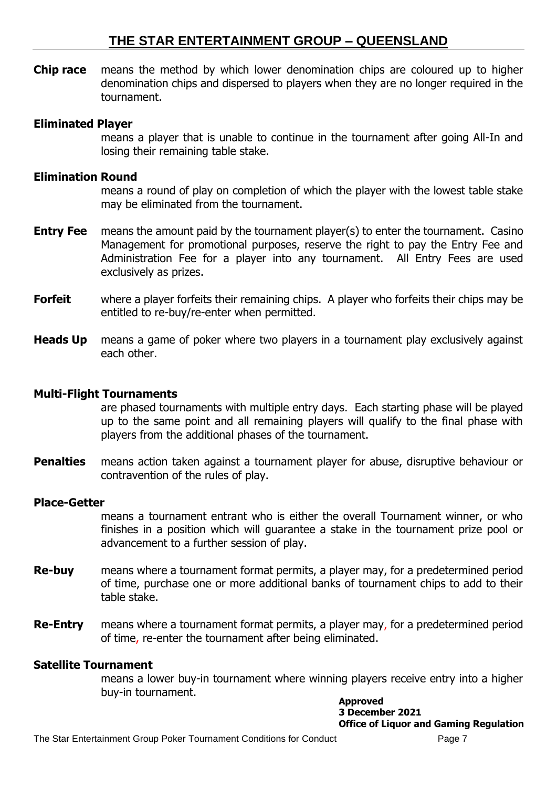**Chip race** means the method by which lower denomination chips are coloured up to higher denomination chips and dispersed to players when they are no longer required in the tournament.

#### **Eliminated Player**

means a player that is unable to continue in the tournament after going All-In and losing their remaining table stake.

#### **Elimination Round**

means a round of play on completion of which the player with the lowest table stake may be eliminated from the tournament.

- **Entry Fee** means the amount paid by the tournament player(s) to enter the tournament. Casino Management for promotional purposes, reserve the right to pay the Entry Fee and Administration Fee for a player into any tournament. All Entry Fees are used exclusively as prizes.
- **Forfeit** where a player forfeits their remaining chips. A player who forfeits their chips may be entitled to re-buy/re-enter when permitted.
- **Heads Up** means a game of poker where two players in a tournament play exclusively against each other.

#### **Multi-Flight Tournaments**

are phased tournaments with multiple entry days. Each starting phase will be played up to the same point and all remaining players will qualify to the final phase with players from the additional phases of the tournament.

**Penalties** means action taken against a tournament player for abuse, disruptive behaviour or contravention of the rules of play.

#### **Place-Getter**

means a tournament entrant who is either the overall Tournament winner, or who finishes in a position which will guarantee a stake in the tournament prize pool or advancement to a further session of play.

- **Re-buy** means where a tournament format permits, a player may, for a predetermined period of time, purchase one or more additional banks of tournament chips to add to their table stake.
- **Re-Entry** means where a tournament format permits, a player may, for a predetermined period of time, re-enter the tournament after being eliminated.

#### **Satellite Tournament**

means a lower buy-in tournament where winning players receive entry into a higher buy-in tournament.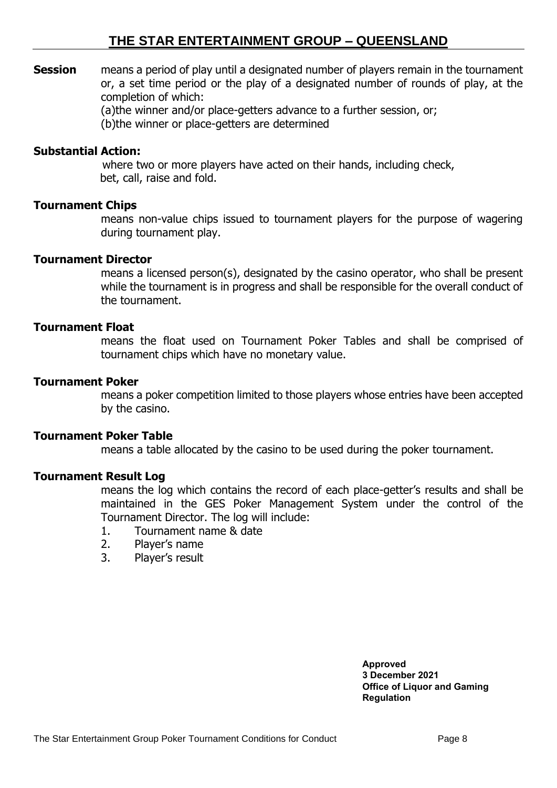**Session** means a period of play until a designated number of players remain in the tournament or, a set time period or the play of a designated number of rounds of play, at the completion of which:

(a)the winner and/or place-getters advance to a further session, or;

(b)the winner or place-getters are determined

#### **Substantial Action:**

where two or more players have acted on their hands, including check, bet, call, raise and fold.

#### **Tournament Chips**

means non-value chips issued to tournament players for the purpose of wagering during tournament play.

#### **Tournament Director**

means a licensed person(s), designated by the casino operator, who shall be present while the tournament is in progress and shall be responsible for the overall conduct of the tournament.

## **Tournament Float**

means the float used on Tournament Poker Tables and shall be comprised of tournament chips which have no monetary value.

#### **Tournament Poker**

means a poker competition limited to those players whose entries have been accepted by the casino.

#### **Tournament Poker Table**

means a table allocated by the casino to be used during the poker tournament.

#### **Tournament Result Log**

means the log which contains the record of each place-getter's results and shall be maintained in the GES Poker Management System under the control of the Tournament Director. The log will include:

- 1. Tournament name & date
- 2. Player's name
- 3. Player's result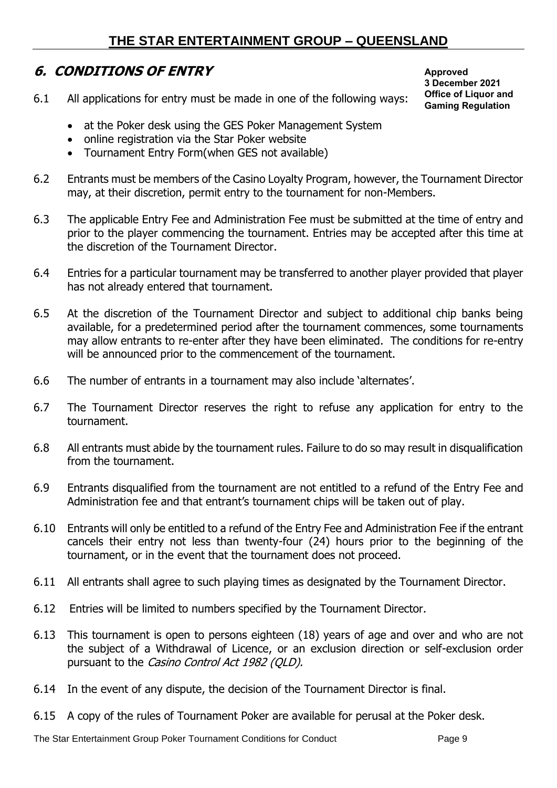## <span id="page-8-0"></span>**6. CONDITIONS OF ENTRY**

6.1 All applications for entry must be made in one of the following ways:

**Approved 3 December 2021 Office of Liquor and Gaming Regulation**

- at the Poker desk using the GES Poker Management System
- online registration via the Star Poker website
- Tournament Entry Form(when GES not available)
- 6.2 Entrants must be members of the Casino Loyalty Program, however, the Tournament Director may, at their discretion, permit entry to the tournament for non-Members.
- 6.3 The applicable Entry Fee and Administration Fee must be submitted at the time of entry and prior to the player commencing the tournament. Entries may be accepted after this time at the discretion of the Tournament Director.
- 6.4 Entries for a particular tournament may be transferred to another player provided that player has not already entered that tournament.
- 6.5 At the discretion of the Tournament Director and subject to additional chip banks being available, for a predetermined period after the tournament commences, some tournaments may allow entrants to re-enter after they have been eliminated. The conditions for re-entry will be announced prior to the commencement of the tournament.
- 6.6 The number of entrants in a tournament may also include 'alternates'.
- 6.7 The Tournament Director reserves the right to refuse any application for entry to the tournament.
- 6.8 All entrants must abide by the tournament rules. Failure to do so may result in disqualification from the tournament.
- 6.9 Entrants disqualified from the tournament are not entitled to a refund of the Entry Fee and Administration fee and that entrant's tournament chips will be taken out of play.
- 6.10 Entrants will only be entitled to a refund of the Entry Fee and Administration Fee if the entrant cancels their entry not less than twenty-four (24) hours prior to the beginning of the tournament, or in the event that the tournament does not proceed.
- 6.11 All entrants shall agree to such playing times as designated by the Tournament Director.
- 6.12 Entries will be limited to numbers specified by the Tournament Director.
- 6.13 This tournament is open to persons eighteen (18) years of age and over and who are not the subject of a Withdrawal of Licence, or an exclusion direction or self-exclusion order pursuant to the Casino Control Act 1982 (QLD).
- 6.14 In the event of any dispute, the decision of the Tournament Director is final.
- 6.15 A copy of the rules of Tournament Poker are available for perusal at the Poker desk.

The Star Entertainment Group Poker Tournament Conditions for Conduct Page 9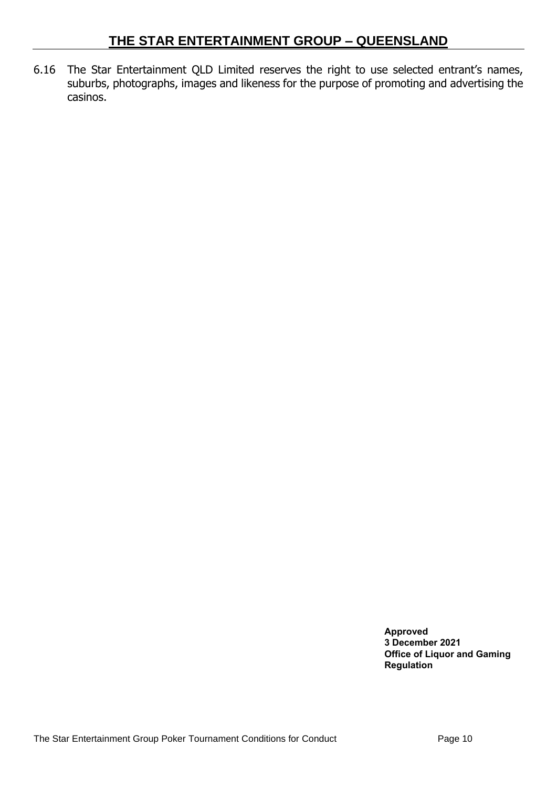6.16 The Star Entertainment QLD Limited reserves the right to use selected entrant's names, suburbs, photographs, images and likeness for the purpose of promoting and advertising the casinos.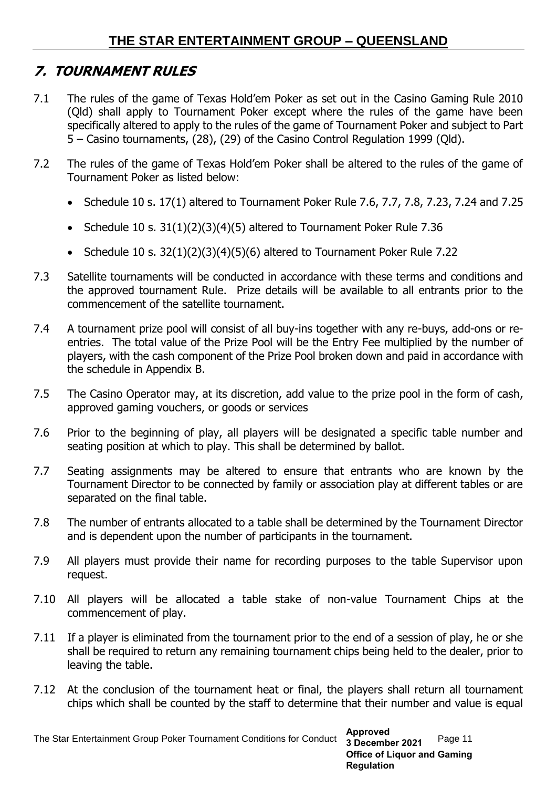# <span id="page-10-0"></span>**7. TOURNAMENT RULES**

- 7.1 The rules of the game of Texas Hold'em Poker as set out in the Casino Gaming Rule 2010 (Qld) shall apply to Tournament Poker except where the rules of the game have been specifically altered to apply to the rules of the game of Tournament Poker and subject to Part 5 – Casino tournaments, (28), (29) of the Casino Control Regulation 1999 (Qld).
- 7.2 The rules of the game of Texas Hold'em Poker shall be altered to the rules of the game of Tournament Poker as listed below:
	- Schedule 10 s. 17(1) altered to Tournament Poker Rule 7.6, 7.7, 7.8, 7.23, 7.24 and 7.25
	- Schedule 10 s. 31(1)(2)(3)(4)(5) altered to Tournament Poker Rule 7.36
	- Schedule 10 s. 32(1)(2)(3)(4)(5)(6) altered to Tournament Poker Rule 7.22
- 7.3 Satellite tournaments will be conducted in accordance with these terms and conditions and the approved tournament Rule. Prize details will be available to all entrants prior to the commencement of the satellite tournament.
- 7.4 A tournament prize pool will consist of all buy-ins together with any re-buys, add-ons or reentries. The total value of the Prize Pool will be the Entry Fee multiplied by the number of players, with the cash component of the Prize Pool broken down and paid in accordance with the schedule in Appendix B.
- 7.5 The Casino Operator may, at its discretion, add value to the prize pool in the form of cash, approved gaming vouchers, or goods or services
- 7.6 Prior to the beginning of play, all players will be designated a specific table number and seating position at which to play. This shall be determined by ballot.
- 7.7 Seating assignments may be altered to ensure that entrants who are known by the Tournament Director to be connected by family or association play at different tables or are separated on the final table.
- 7.8 The number of entrants allocated to a table shall be determined by the Tournament Director and is dependent upon the number of participants in the tournament.
- 7.9 All players must provide their name for recording purposes to the table Supervisor upon request.
- 7.10 All players will be allocated a table stake of non-value Tournament Chips at the commencement of play.
- 7.11 If a player is eliminated from the tournament prior to the end of a session of play, he or she shall be required to return any remaining tournament chips being held to the dealer, prior to leaving the table.
- 7.12 At the conclusion of the tournament heat or final, the players shall return all tournament chips which shall be counted by the staff to determine that their number and value is equal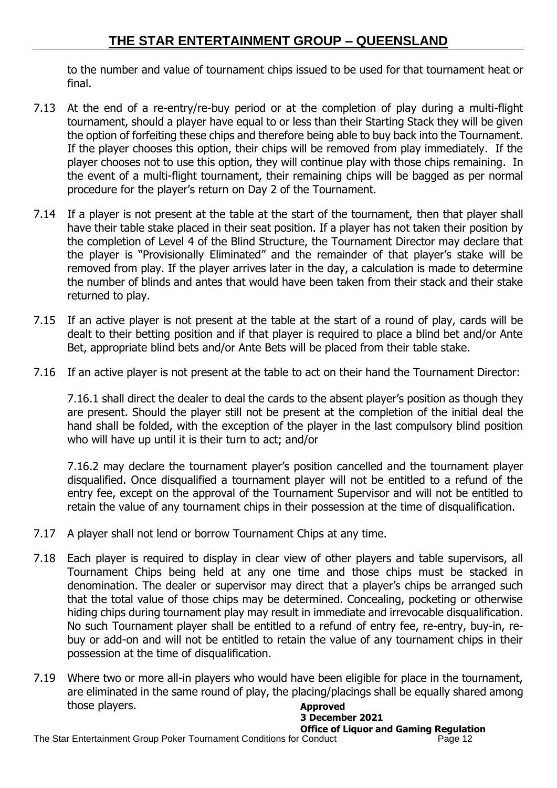to the number and value of tournament chips issued to be used for that tournament heat or final.

- 7.13 At the end of a re-entry/re-buy period or at the completion of play during a multi-flight tournament, should a player have equal to or less than their Starting Stack they will be given the option of forfeiting these chips and therefore being able to buy back into the Tournament. If the player chooses this option, their chips will be removed from play immediately. If the player chooses not to use this option, they will continue play with those chips remaining. In the event of a multi-flight tournament, their remaining chips will be bagged as per normal procedure for the player's return on Day 2 of the Tournament.
- 7.14 If a player is not present at the table at the start of the tournament, then that player shall have their table stake placed in their seat position. If a player has not taken their position by the completion of Level 4 of the Blind Structure, the Tournament Director may declare that the player is "Provisionally Eliminated" and the remainder of that player's stake will be removed from play. If the player arrives later in the day, a calculation is made to determine the number of blinds and antes that would have been taken from their stack and their stake returned to play.
- 7.15 If an active player is not present at the table at the start of a round of play, cards will be dealt to their betting position and if that player is required to place a blind bet and/or Ante Bet, appropriate blind bets and/or Ante Bets will be placed from their table stake.
- 7.16 If an active player is not present at the table to act on their hand the Tournament Director:

7.16.1 shall direct the dealer to deal the cards to the absent player's position as though they are present. Should the player still not be present at the completion of the initial deal the hand shall be folded, with the exception of the player in the last compulsory blind position who will have up until it is their turn to act; and/or

7.16.2 may declare the tournament player's position cancelled and the tournament player disqualified. Once disqualified a tournament player will not be entitled to a refund of the entry fee, except on the approval of the Tournament Supervisor and will not be entitled to retain the value of any tournament chips in their possession at the time of disqualification.

- 7.17 A player shall not lend or borrow Tournament Chips at any time.
- 7.18 Each player is required to display in clear view of other players and table supervisors, all Tournament Chips being held at any one time and those chips must be stacked in denomination. The dealer or supervisor may direct that a player's chips be arranged such that the total value of those chips may be determined. Concealing, pocketing or otherwise hiding chips during tournament play may result in immediate and irrevocable disqualification. No such Tournament player shall be entitled to a refund of entry fee, re-entry, buy-in, rebuy or add-on and will not be entitled to retain the value of any tournament chips in their possession at the time of disqualification.
- 7.19 Where two or more all-in players who would have been eligible for place in the tournament, are eliminated in the same round of play, the placing/placings shall be equally shared among those players. **Approved**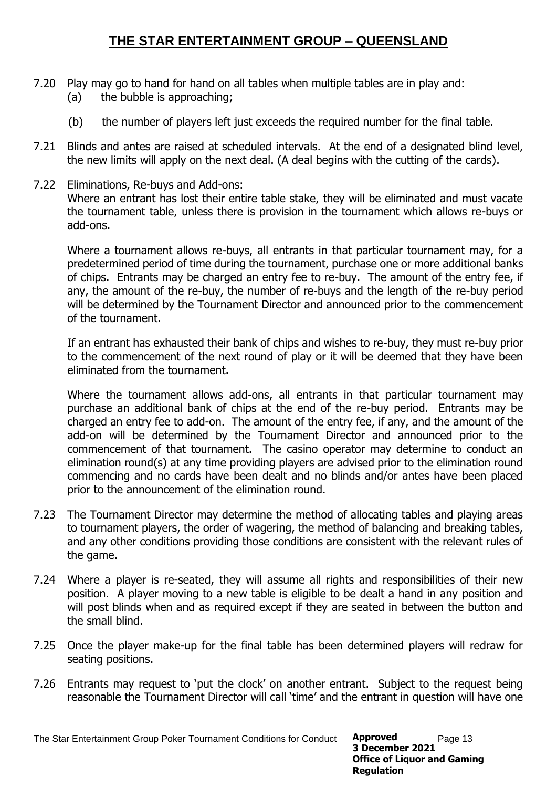- 7.20 Play may go to hand for hand on all tables when multiple tables are in play and: (a) the bubble is approaching;
	- (b) the number of players left just exceeds the required number for the final table.
- 7.21 Blinds and antes are raised at scheduled intervals. At the end of a designated blind level, the new limits will apply on the next deal. (A deal begins with the cutting of the cards).
- 7.22 Eliminations, Re-buys and Add-ons: Where an entrant has lost their entire table stake, they will be eliminated and must vacate the tournament table, unless there is provision in the tournament which allows re-buys or add-ons.

Where a tournament allows re-buys, all entrants in that particular tournament may, for a predetermined period of time during the tournament, purchase one or more additional banks of chips. Entrants may be charged an entry fee to re-buy. The amount of the entry fee, if any, the amount of the re-buy, the number of re-buys and the length of the re-buy period will be determined by the Tournament Director and announced prior to the commencement of the tournament.

If an entrant has exhausted their bank of chips and wishes to re-buy, they must re-buy prior to the commencement of the next round of play or it will be deemed that they have been eliminated from the tournament.

Where the tournament allows add-ons, all entrants in that particular tournament may purchase an additional bank of chips at the end of the re-buy period. Entrants may be charged an entry fee to add-on. The amount of the entry fee, if any, and the amount of the add-on will be determined by the Tournament Director and announced prior to the commencement of that tournament. The casino operator may determine to conduct an elimination round(s) at any time providing players are advised prior to the elimination round commencing and no cards have been dealt and no blinds and/or antes have been placed prior to the announcement of the elimination round.

- 7.23 The Tournament Director may determine the method of allocating tables and playing areas to tournament players, the order of wagering, the method of balancing and breaking tables, and any other conditions providing those conditions are consistent with the relevant rules of the game.
- 7.24 Where a player is re-seated, they will assume all rights and responsibilities of their new position. A player moving to a new table is eligible to be dealt a hand in any position and will post blinds when and as required except if they are seated in between the button and the small blind.
- 7.25 Once the player make-up for the final table has been determined players will redraw for seating positions.
- 7.26 Entrants may request to 'put the clock' on another entrant. Subject to the request being reasonable the Tournament Director will call 'time' and the entrant in question will have one

The Star Entertainment Group Poker Tournament Conditions for Conduct **Approved** Page 13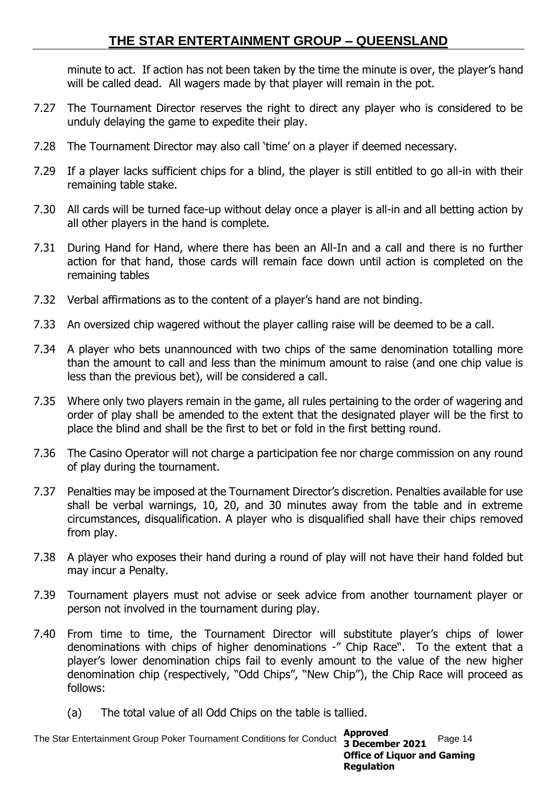minute to act. If action has not been taken by the time the minute is over, the player's hand will be called dead. All wagers made by that player will remain in the pot.

- 7.27 The Tournament Director reserves the right to direct any player who is considered to be unduly delaying the game to expedite their play.
- 7.28 The Tournament Director may also call 'time' on a player if deemed necessary.
- 7.29 If a player lacks sufficient chips for a blind, the player is still entitled to go all-in with their remaining table stake.
- 7.30 All cards will be turned face-up without delay once a player is all-in and all betting action by all other players in the hand is complete.
- 7.31 During Hand for Hand, where there has been an All-In and a call and there is no further action for that hand, those cards will remain face down until action is completed on the remaining tables
- 7.32 Verbal affirmations as to the content of a player's hand are not binding.
- 7.33 An oversized chip wagered without the player calling raise will be deemed to be a call.
- 7.34 A player who bets unannounced with two chips of the same denomination totalling more than the amount to call and less than the minimum amount to raise (and one chip value is less than the previous bet), will be considered a call.
- 7.35 Where only two players remain in the game, all rules pertaining to the order of wagering and order of play shall be amended to the extent that the designated player will be the first to place the blind and shall be the first to bet or fold in the first betting round.
- 7.36 The Casino Operator will not charge a participation fee nor charge commission on any round of play during the tournament.
- 7.37 Penalties may be imposed at the Tournament Director's discretion. Penalties available for use shall be verbal warnings, 10, 20, and 30 minutes away from the table and in extreme circumstances, disqualification. A player who is disqualified shall have their chips removed from play.
- 7.38 A player who exposes their hand during a round of play will not have their hand folded but may incur a Penalty.
- 7.39 Tournament players must not advise or seek advice from another tournament player or person not involved in the tournament during play.
- 7.40 From time to time, the Tournament Director will substitute player's chips of lower denominations with chips of higher denominations -" Chip Race". To the extent that a player's lower denomination chips fail to evenly amount to the value of the new higher denomination chip (respectively, "Odd Chips", "New Chip"), the Chip Race will proceed as follows:
	- (a) The total value of all Odd Chips on the table is tallied.

The Star Entertainment Group Poker Tournament Conditions for Conduct 2 December 2021 Page 14 **Approved 3 December 2021 Office of Liquor and Gaming Regulation**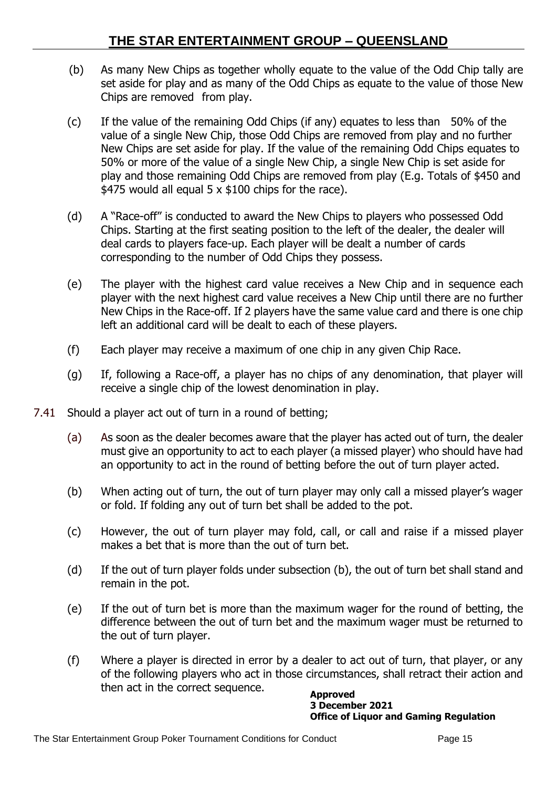- (b) As many New Chips as together wholly equate to the value of the Odd Chip tally are set aside for play and as many of the Odd Chips as equate to the value of those New Chips are removed from play.
- (c) If the value of the remaining Odd Chips (if any) equates to less than 50% of the value of a single New Chip, those Odd Chips are removed from play and no further New Chips are set aside for play. If the value of the remaining Odd Chips equates to 50% or more of the value of a single New Chip, a single New Chip is set aside for play and those remaining Odd Chips are removed from play (E.g. Totals of \$450 and \$475 would all equal  $5 \times$  \$100 chips for the race).
- (d) A "Race-off" is conducted to award the New Chips to players who possessed Odd Chips. Starting at the first seating position to the left of the dealer, the dealer will deal cards to players face-up. Each player will be dealt a number of cards corresponding to the number of Odd Chips they possess.
- (e) The player with the highest card value receives a New Chip and in sequence each player with the next highest card value receives a New Chip until there are no further New Chips in the Race-off. If 2 players have the same value card and there is one chip left an additional card will be dealt to each of these players.
- (f) Each player may receive a maximum of one chip in any given Chip Race.
- (g) If, following a Race-off, a player has no chips of any denomination, that player will receive a single chip of the lowest denomination in play.
- 7.41 Should a player act out of turn in a round of betting;
	- (a) As soon as the dealer becomes aware that the player has acted out of turn, the dealer must give an opportunity to act to each player (a missed player) who should have had an opportunity to act in the round of betting before the out of turn player acted.
	- (b) When acting out of turn, the out of turn player may only call a missed player's wager or fold. If folding any out of turn bet shall be added to the pot.
	- (c) However, the out of turn player may fold, call, or call and raise if a missed player makes a bet that is more than the out of turn bet.
	- (d) If the out of turn player folds under subsection (b), the out of turn bet shall stand and remain in the pot.
	- (e) If the out of turn bet is more than the maximum wager for the round of betting, the difference between the out of turn bet and the maximum wager must be returned to the out of turn player.
	- (f) Where a player is directed in error by a dealer to act out of turn, that player, or any of the following players who act in those circumstances, shall retract their action and then act in the correct sequence. **Approved**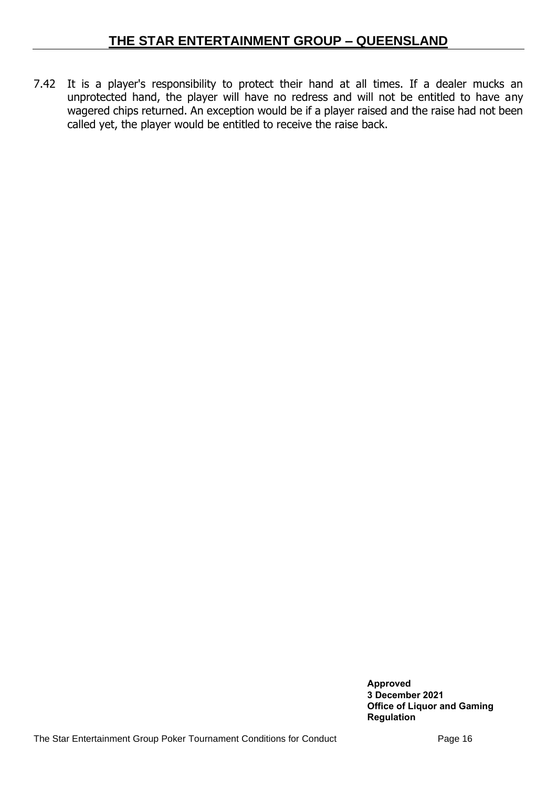7.42 It is a player's responsibility to protect their hand at all times. If a dealer mucks an unprotected hand, the player will have no redress and will not be entitled to have any wagered chips returned. An exception would be if a player raised and the raise had not been called yet, the player would be entitled to receive the raise back.